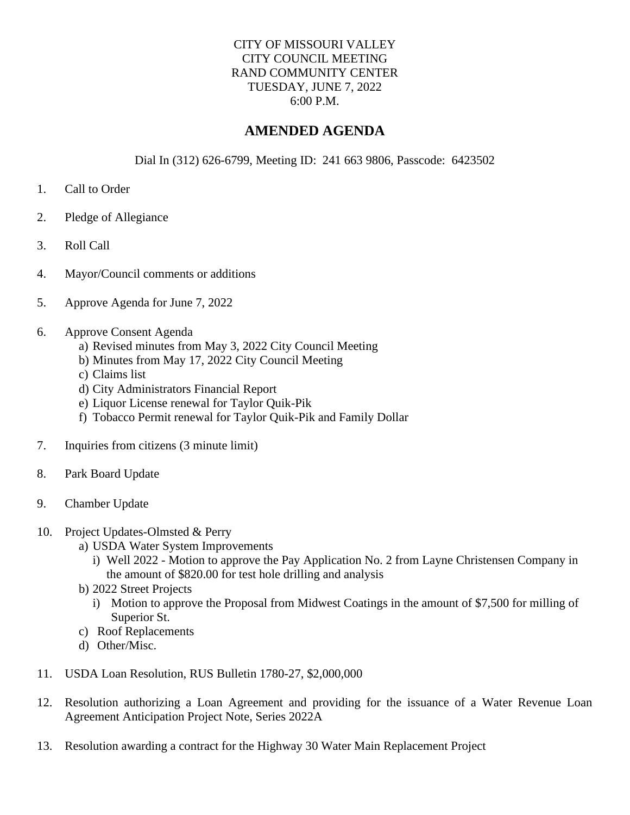## CITY OF MISSOURI VALLEY CITY COUNCIL MEETING RAND COMMUNITY CENTER TUESDAY, JUNE 7, 2022 6:00 P.M.

## **AMENDED AGENDA**

Dial In (312) 626-6799, Meeting ID: 241 663 9806, Passcode: 6423502

- 1. Call to Order
- 2. Pledge of Allegiance
- 3. Roll Call
- 4. Mayor/Council comments or additions
- 5. Approve Agenda for June 7, 2022
- 6. Approve Consent Agenda
	- a) Revised minutes from May 3, 2022 City Council Meeting
	- b) Minutes from May 17, 2022 City Council Meeting
	- c) Claims list
	- d) City Administrators Financial Report
	- e) Liquor License renewal for Taylor Quik-Pik
	- f) Tobacco Permit renewal for Taylor Quik-Pik and Family Dollar
- 7. Inquiries from citizens (3 minute limit)
- 8. Park Board Update
- 9. Chamber Update
- 10. Project Updates-Olmsted & Perry
	- a) USDA Water System Improvements
		- i) Well 2022 Motion to approve the Pay Application No. 2 from Layne Christensen Company in the amount of \$820.00 for test hole drilling and analysis
	- b) 2022 Street Projects
		- i) Motion to approve the Proposal from Midwest Coatings in the amount of \$7,500 for milling of Superior St.
	- c) Roof Replacements
	- d) Other/Misc.
- 11. USDA Loan Resolution, RUS Bulletin 1780-27, \$2,000,000
- 12. Resolution authorizing a Loan Agreement and providing for the issuance of a Water Revenue Loan Agreement Anticipation Project Note, Series 2022A
- 13. Resolution awarding a contract for the Highway 30 Water Main Replacement Project